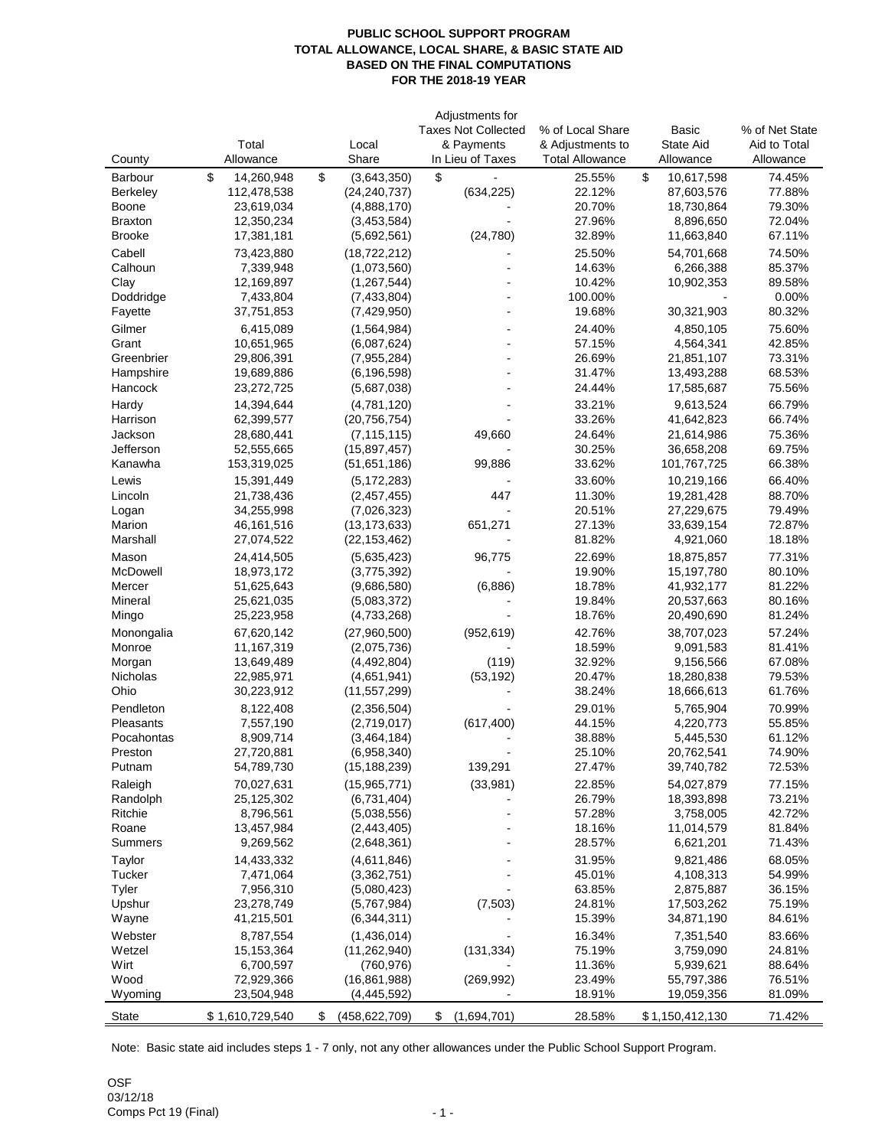## **PUBLIC SCHOOL SUPPORT PROGRAM TOTAL ALLOWANCE, LOCAL SHARE, & BASIC STATE AID BASED ON THE FINAL COMPUTATIONS FOR THE 2018-19 YEAR**

|                 |                  |                       | Adjustments for            |                        |                              |                |
|-----------------|------------------|-----------------------|----------------------------|------------------------|------------------------------|----------------|
|                 |                  |                       | <b>Taxes Not Collected</b> | % of Local Share       | Basic                        | % of Net State |
|                 | Total            | Local                 | & Payments                 | & Adjustments to       | State Aid                    | Aid to Total   |
| County          | Allowance        | Share                 | In Lieu of Taxes           | <b>Total Allowance</b> | Allowance                    | Allowance      |
| Barbour         | \$<br>14,260,948 | \$<br>(3,643,350)     | \$                         | 25.55%                 | $\mathfrak{S}$<br>10,617,598 | 74.45%         |
| <b>Berkeley</b> | 112,478,538      | (24, 240, 737)        | (634, 225)                 | 22.12%                 | 87,603,576                   | 77.88%         |
| <b>Boone</b>    | 23,619,034       | (4,888,170)           |                            | 20.70%                 | 18,730,864                   | 79.30%         |
| <b>Braxton</b>  | 12,350,234       | (3,453,584)           |                            | 27.96%                 | 8,896,650                    | 72.04%         |
| <b>Brooke</b>   | 17,381,181       | (5,692,561)           | (24, 780)                  | 32.89%                 | 11,663,840                   | 67.11%         |
| Cabell          | 73,423,880       | (18, 722, 212)        |                            | 25.50%                 | 54,701,668                   | 74.50%         |
| Calhoun         | 7,339,948        | (1,073,560)           |                            | 14.63%                 |                              | 85.37%         |
|                 |                  |                       |                            |                        | 6,266,388                    |                |
| Clay            | 12,169,897       | (1, 267, 544)         |                            | 10.42%                 | 10,902,353                   | 89.58%         |
| Doddridge       | 7,433,804        | (7,433,804)           |                            | 100.00%                |                              | 0.00%          |
| Fayette         | 37,751,853       | (7,429,950)           |                            | 19.68%                 | 30,321,903                   | 80.32%         |
| Gilmer          | 6,415,089        | (1,564,984)           |                            | 24.40%                 | 4,850,105                    | 75.60%         |
| Grant           | 10,651,965       | (6,087,624)           |                            | 57.15%                 | 4,564,341                    | 42.85%         |
| Greenbrier      | 29,806,391       | (7,955,284)           |                            | 26.69%                 | 21,851,107                   | 73.31%         |
| Hampshire       | 19,689,886       | (6, 196, 598)         |                            | 31.47%                 | 13,493,288                   | 68.53%         |
| Hancock         | 23,272,725       | (5,687,038)           |                            | 24.44%                 | 17,585,687                   | 75.56%         |
| Hardy           | 14,394,644       | (4,781,120)           |                            | 33.21%                 | 9,613,524                    | 66.79%         |
| Harrison        | 62,399,577       | (20, 756, 754)        |                            | 33.26%                 | 41,642,823                   | 66.74%         |
| Jackson         | 28,680,441       | (7, 115, 115)         | 49,660                     | 24.64%                 | 21,614,986                   | 75.36%         |
| Jefferson       | 52,555,665       | (15,897,457)          |                            | 30.25%                 | 36,658,208                   | 69.75%         |
| Kanawha         | 153,319,025      | (51, 651, 186)        | 99,886                     | 33.62%                 | 101,767,725                  | 66.38%         |
| Lewis           | 15,391,449       | (5, 172, 283)         |                            | 33.60%                 | 10,219,166                   | 66.40%         |
| Lincoln         | 21,738,436       | (2,457,455)           | 447                        | 11.30%                 | 19,281,428                   | 88.70%         |
| Logan           | 34,255,998       | (7,026,323)           |                            | 20.51%                 | 27,229,675                   | 79.49%         |
| Marion          | 46,161,516       | (13, 173, 633)        | 651,271                    | 27.13%                 | 33,639,154                   | 72.87%         |
| Marshall        | 27,074,522       | (22, 153, 462)        |                            | 81.82%                 | 4,921,060                    | 18.18%         |
|                 |                  |                       |                            |                        |                              |                |
| Mason           | 24,414,505       | (5,635,423)           | 96,775                     | 22.69%                 | 18,875,857                   | 77.31%         |
| McDowell        | 18,973,172       | (3,775,392)           |                            | 19.90%                 | 15,197,780                   | 80.10%         |
| Mercer          | 51,625,643       | (9,686,580)           | (6,886)                    | 18.78%                 | 41,932,177                   | 81.22%         |
| Mineral         | 25,621,035       | (5,083,372)           |                            | 19.84%                 | 20,537,663                   | 80.16%         |
| Mingo           | 25,223,958       | (4,733,268)           |                            | 18.76%                 | 20,490,690                   | 81.24%         |
| Monongalia      | 67,620,142       | (27,960,500)          | (952, 619)                 | 42.76%                 | 38,707,023                   | 57.24%         |
| Monroe          | 11,167,319       | (2,075,736)           |                            | 18.59%                 | 9,091,583                    | 81.41%         |
| Morgan          | 13,649,489       | (4,492,804)           | (119)                      | 32.92%                 | 9,156,566                    | 67.08%         |
| Nicholas        | 22,985,971       | (4,651,941)           | (53, 192)                  | 20.47%                 | 18,280,838                   | 79.53%         |
| Ohio            | 30,223,912       | (11, 557, 299)        |                            | 38.24%                 | 18,666,613                   | 61.76%         |
| Pendleton       | 8,122,408        | (2,356,504)           |                            | 29.01%                 | 5,765,904                    | 70.99%         |
| Pleasants       | 7,557,190        | (2,719,017)           | (617, 400)                 | 44.15%                 | 4,220,773                    | 55.85%         |
| Pocahontas      | 8,909,714        | (3,464,184)           |                            | 38.88%                 | 5,445,530                    | 61.12%         |
| Preston         | 27,720,881       | (6,958,340)           |                            | 25.10%                 | 20,762,541                   | 74.90%         |
| Putnam          | 54,789,730       | (15, 188, 239)        | 139,291                    | 27.47%                 | 39,740,782                   | 72.53%         |
|                 |                  |                       |                            |                        |                              |                |
| Raleigh         | 70,027,631       | (15, 965, 771)        | (33,981)                   | 22.85%                 | 54,027,879                   | 77.15%         |
| Randolph        | 25,125,302       | (6,731,404)           |                            | 26.79%                 | 18,393,898                   | 73.21%         |
| Ritchie         | 8,796,561        | (5.038.556)           |                            | 57.28%                 | 3,758,005                    | 42.72%         |
| Roane           | 13,457,984       | (2,443,405)           |                            | 18.16%                 | 11,014,579                   | 81.84%         |
| Summers         | 9,269,562        | (2,648,361)           |                            | 28.57%                 | 6,621,201                    | 71.43%         |
| Taylor          | 14,433,332       | (4,611,846)           |                            | 31.95%                 | 9,821,486                    | 68.05%         |
| Tucker          | 7,471,064        | (3,362,751)           |                            | 45.01%                 | 4,108,313                    | 54.99%         |
| Tyler           | 7,956,310        | (5,080,423)           |                            | 63.85%                 | 2,875,887                    | 36.15%         |
| Upshur          | 23,278,749       | (5,767,984)           | (7, 503)                   | 24.81%                 | 17,503,262                   | 75.19%         |
| Wayne           | 41,215,501       | (6,344,311)           |                            | 15.39%                 | 34,871,190                   | 84.61%         |
| Webster         | 8,787,554        | (1,436,014)           |                            | 16.34%                 | 7,351,540                    | 83.66%         |
| Wetzel          | 15, 153, 364     | (11, 262, 940)        | (131, 334)                 | 75.19%                 | 3,759,090                    | 24.81%         |
| Wirt            | 6,700,597        | (760, 976)            |                            | 11.36%                 | 5,939,621                    | 88.64%         |
| Wood            | 72,929,366       | (16, 861, 988)        | (269, 992)                 | 23.49%                 | 55,797,386                   | 76.51%         |
| Wyoming         | 23,504,948       | (4, 445, 592)         |                            | 18.91%                 | 19,059,356                   | 81.09%         |
|                 |                  |                       |                            |                        |                              |                |
| <b>State</b>    | \$1,610,729,540  | \$<br>(458, 622, 709) | \$<br>(1,694,701)          | 28.58%                 | \$1,150,412,130              | 71.42%         |

Note: Basic state aid includes steps 1 - 7 only, not any other allowances under the Public School Support Program.